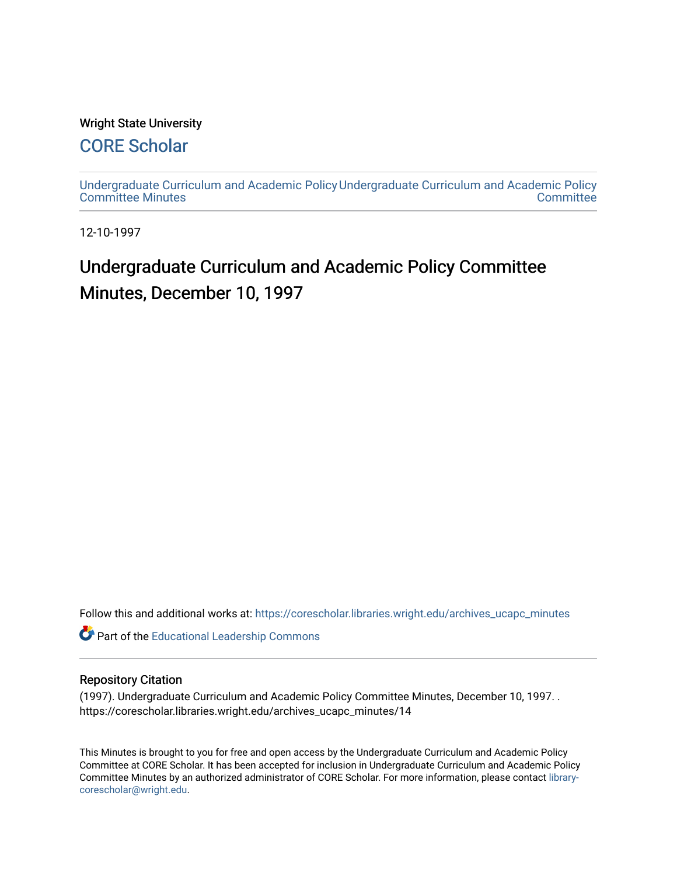#### Wright State University

## [CORE Scholar](https://corescholar.libraries.wright.edu/)

[Undergraduate Curriculum and Academic Policy](https://corescholar.libraries.wright.edu/archives_ucapc_minutes) [Undergraduate Curriculum and Academic Policy](https://corescholar.libraries.wright.edu/archives_ucapc)  [Committee Minutes](https://corescholar.libraries.wright.edu/archives_ucapc_minutes) **Committee** 

12-10-1997

# Undergraduate Curriculum and Academic Policy Committee Minutes, December 10, 1997

Follow this and additional works at: [https://corescholar.libraries.wright.edu/archives\\_ucapc\\_minutes](https://corescholar.libraries.wright.edu/archives_ucapc_minutes?utm_source=corescholar.libraries.wright.edu%2Farchives_ucapc_minutes%2F14&utm_medium=PDF&utm_campaign=PDFCoverPages) 

Part of the [Educational Leadership Commons](http://network.bepress.com/hgg/discipline/1230?utm_source=corescholar.libraries.wright.edu%2Farchives_ucapc_minutes%2F14&utm_medium=PDF&utm_campaign=PDFCoverPages) 

#### Repository Citation

(1997). Undergraduate Curriculum and Academic Policy Committee Minutes, December 10, 1997. . https://corescholar.libraries.wright.edu/archives\_ucapc\_minutes/14

This Minutes is brought to you for free and open access by the Undergraduate Curriculum and Academic Policy Committee at CORE Scholar. It has been accepted for inclusion in Undergraduate Curriculum and Academic Policy Committee Minutes by an authorized administrator of CORE Scholar. For more information, please contact [library](mailto:library-corescholar@wright.edu)[corescholar@wright.edu](mailto:library-corescholar@wright.edu).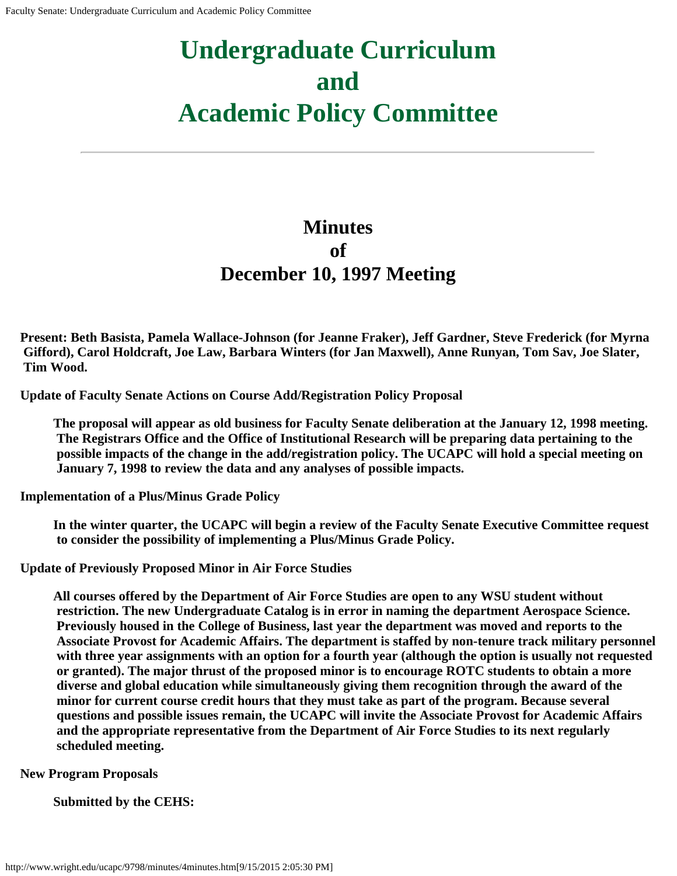# **Undergraduate Curriculum and Academic Policy Committee**

## **Minutes of December 10, 1997 Meeting**

**Present: Beth Basista, Pamela Wallace-Johnson (for Jeanne Fraker), Jeff Gardner, Steve Frederick (for Myrna Gifford), Carol Holdcraft, Joe Law, Barbara Winters (for Jan Maxwell), Anne Runyan, Tom Sav, Joe Slater, Tim Wood.**

**Update of Faculty Senate Actions on Course Add/Registration Policy Proposal**

**The proposal will appear as old business for Faculty Senate deliberation at the January 12, 1998 meeting. The Registrars Office and the Office of Institutional Research will be preparing data pertaining to the possible impacts of the change in the add/registration policy. The UCAPC will hold a special meeting on January 7, 1998 to review the data and any analyses of possible impacts.**

**Implementation of a Plus/Minus Grade Policy**

**In the winter quarter, the UCAPC will begin a review of the Faculty Senate Executive Committee request to consider the possibility of implementing a Plus/Minus Grade Policy.**

**Update of Previously Proposed Minor in Air Force Studies**

**All courses offered by the Department of Air Force Studies are open to any WSU student without restriction. The new Undergraduate Catalog is in error in naming the department Aerospace Science. Previously housed in the College of Business, last year the department was moved and reports to the Associate Provost for Academic Affairs. The department is staffed by non-tenure track military personnel with three year assignments with an option for a fourth year (although the option is usually not requested or granted). The major thrust of the proposed minor is to encourage ROTC students to obtain a more diverse and global education while simultaneously giving them recognition through the award of the minor for current course credit hours that they must take as part of the program. Because several questions and possible issues remain, the UCAPC will invite the Associate Provost for Academic Affairs and the appropriate representative from the Department of Air Force Studies to its next regularly scheduled meeting.**

**New Program Proposals**

**Submitted by the CEHS:**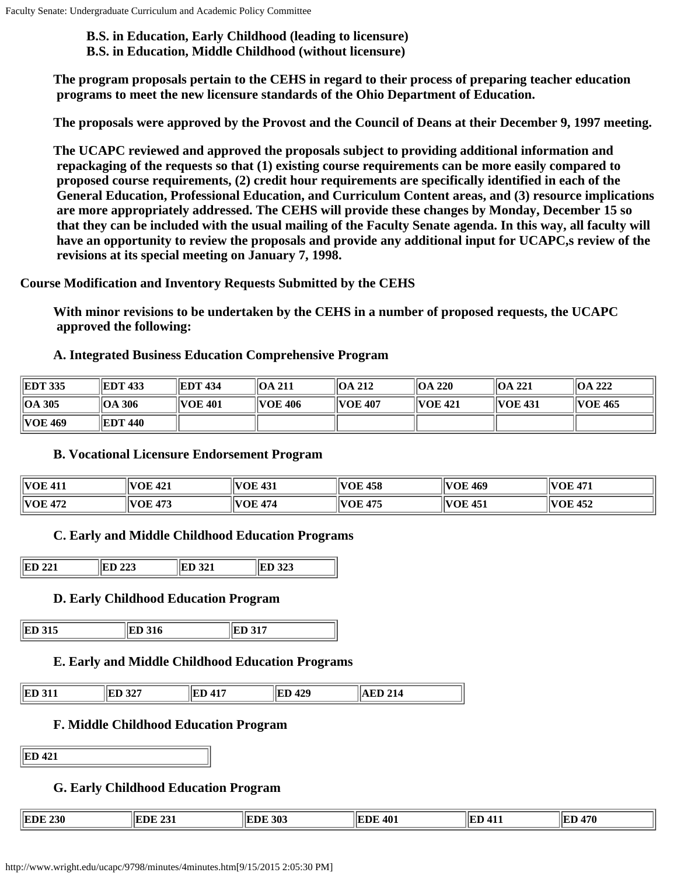**B.S. in Education, Early Childhood (leading to licensure) B.S. in Education, Middle Childhood (without licensure)**

**The program proposals pertain to the CEHS in regard to their process of preparing teacher education programs to meet the new licensure standards of the Ohio Department of Education.**

**The proposals were approved by the Provost and the Council of Deans at their December 9, 1997 meeting.**

**The UCAPC reviewed and approved the proposals subject to providing additional information and repackaging of the requests so that (1) existing course requirements can be more easily compared to proposed course requirements, (2) credit hour requirements are specifically identified in each of the General Education, Professional Education, and Curriculum Content areas, and (3) resource implications are more appropriately addressed. The CEHS will provide these changes by Monday, December 15 so that they can be included with the usual mailing of the Faculty Senate agenda. In this way, all faculty will have an opportunity to review the proposals and provide any additional input for UCAPC,s review of the revisions at its special meeting on January 7, 1998.**

**Course Modification and Inventory Requests Submitted by the CEHS**

**With minor revisions to be undertaken by the CEHS in a number of proposed requests, the UCAPC approved the following:**

**A. Integrated Business Education Comprehensive Program**

| <b>EDT 335</b>     | <b>IEDT 433</b> | <b>IEDT 434</b> | $\parallel$ OA 211  | <b>OA 212</b>   | OA 220              | OA 221         | $\parallel$ OA 222 |
|--------------------|-----------------|-----------------|---------------------|-----------------|---------------------|----------------|--------------------|
| $\parallel$ OA 305 | 306<br>"IOA     | <b>VOE 401</b>  | $\parallel$ VOE 406 | <b>IVOE 407</b> | $\parallel$ VOE 421 | <b>VOE 431</b> | VOE 465            |
| <b>VOE 469</b>     | EDT 440         |                 |                     |                 |                     |                |                    |

#### **B. Vocational Licensure Endorsement Program**

| <b>VOE 411</b> | $\parallel$ VOE 421 | <b>VOE 431</b> | VOE 458 | VOE 469 | $\parallel$ VOE 471 |
|----------------|---------------------|----------------|---------|---------|---------------------|
| <b>NOE 472</b> | VOE 473             | <b>VOE 474</b> | VOE 475 | VOE 451 | $\parallel$ VOE 452 |

#### **C. Early and Middle Childhood Education Programs**

| ٠ы<br>.<br>---<br>$ -$ | $\sim$<br>⊷ | ້ |
|------------------------|-------------|---|
|                        |             |   |

#### **D. Early Childhood Education Program**

| <b>ED 315</b> | 316<br>IED | 217<br>IED |
|---------------|------------|------------|
|               |            |            |

#### **E. Early and Middle Childhood Education Programs**

| ED<br>311 | 227  |              | 429   | I A |
|-----------|------|--------------|-------|-----|
|           | ا عد | TED<br>T.L / | متحدا | 214 |

#### **F. Middle Childhood Education Program**

**ED 421**

#### **G. Early Childhood Education Program**

| <b>EDE 303</b><br>IEDE<br>230<br>$\sim$<br>TEDE<br>$\overline{a}$ | 401<br>IEDE | IEI<br>т. | 470<br>'чn.<br>שני |
|-------------------------------------------------------------------|-------------|-----------|--------------------|
|-------------------------------------------------------------------|-------------|-----------|--------------------|